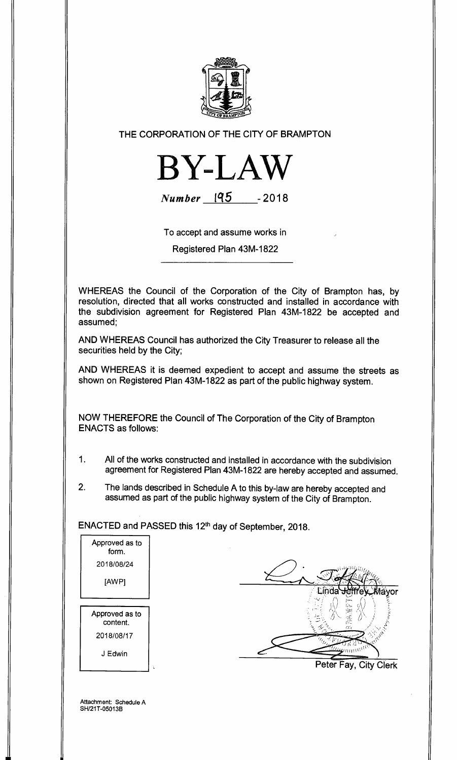

THE CORPORATION OF THE CITY OF BRAMPTON



**Number iq5 - 2018** 

To accept and assume works in

Registered Plan 43M-1822

WHEREAS the Council of the Corporation of the City of Brampton has, by resolution, directed that all works constructed and installed in accordance with the subdivision agreement for Registered Plan 43M-1822 be accepted and assumed;

AND WHEREAS Council has authorized the City Treasurer to release all the securities held by the City;

AND WHEREAS it is deemed expedient to accept and assume the streets as shown on Registered Plan 43M-1822 as part of the public highway system.

NOW THEREFORE the Council of The Corporation of the City of Brampton ENACTS as follows:

- 1. All of the works constructed and installed in accordance with the subdivision agreement for Registered Plan 43M-1822 are hereby accepted and assumed.
- 2. The lands described in Schedule A to this by-law are hereby accepted and assumed as part of the public highway system of the City of Brampton.

ENACTED and PASSED this 12<sup>th</sup> day of September, 2018.



ayor man W Peter Fay, City Clerk

Attachment: Schedule A SH/21T-05013B